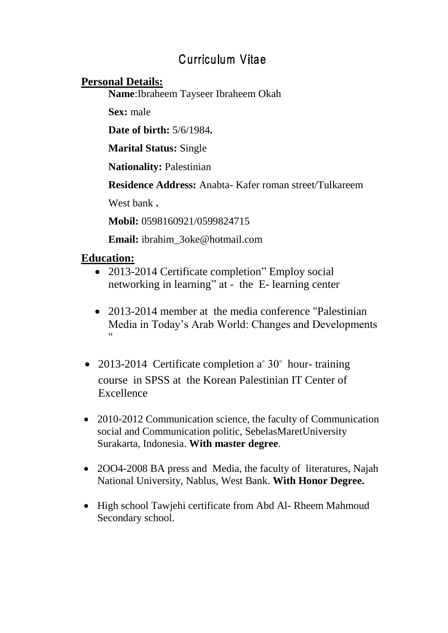# **Curriculum Vitae**

# **Personal Details:**

**Name**:Ibraheem Tayseer Ibraheem Okah

**Sex:** male

**Date of birth:** 5/6/1984**.**

**Marital Status:** Single

**Nationality:** Palestinian

**Residence Address:** Anabta- Kafer roman street/Tulkareem

West bank **.**

**Mobil:** 0598160921/0599824715

**Email:** ibrahim\_3oke@hotmail.com

# **Education:**

- 2013-2014 Certificate completion" Employ social networking in learning" at - the E- learning center
- 2013-2014 member at the media conference "Palestinian Media in Today's Arab World: Changes and Developments "
- 2013-2014 Certificate completion a"  $30$ " hour-training course in SPSS at the Korean Palestinian IT Center of Excellence
- 2010-2012 Communication science, the faculty of Communication social and Communication politic, SebelasMaretUniversity Surakarta, Indonesia. **With master degree**.
- 2004-2008 BA press and Media, the faculty of literatures, Najah National University, Nablus, West Bank. **With Honor Degree.**
- High school Tawjehi certificate from Abd Al- Rheem Mahmoud Secondary school.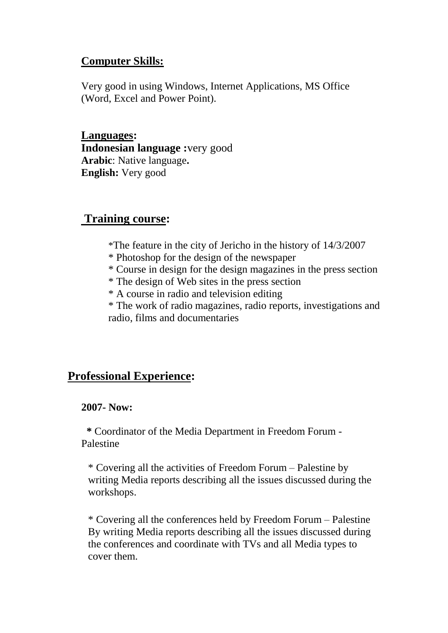# **Computer Skills:**

Very good in using Windows, Internet Applications, MS Office (Word, Excel and Power Point).

**Languages: Indonesian language :**very good **Arabic**: Native language**. English:** Very good

# **Training course:**

- \*The feature in the city of Jericho in the history of 14/3/2007
- \* Photoshop for the design of the newspaper
- \* Course in design for the design magazines in the press section
- \* The design of Web sites in the press section
- \* A course in radio and television editing

\* The work of radio magazines, radio reports, investigations and radio, films and documentaries

# **Professional Experience:**

#### **2007- Now:**

 **\*** Coordinator of the Media Department in Freedom Forum - Palestine

\* Covering all the activities of Freedom Forum – Palestine by writing Media reports describing all the issues discussed during the workshops.

\* Covering all the conferences held by Freedom Forum – Palestine By writing Media reports describing all the issues discussed during the conferences and coordinate with TVs and all Media types to cover them.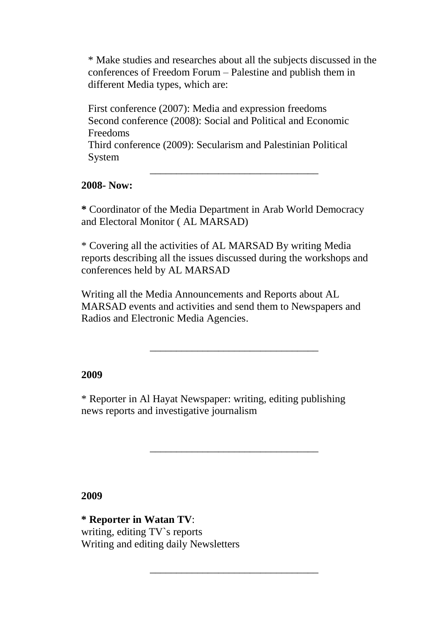\* Make studies and researches about all the subjects discussed in the conferences of Freedom Forum – Palestine and publish them in different Media types, which are:

First conference (2007): Media and expression freedoms Second conference (2008): Social and Political and Economic Freedoms

Third conference (2009): Secularism and Palestinian Political System

#### **2008- Now:**

**\*** Coordinator of the Media Department in Arab World Democracy and Electoral Monitor ( AL MARSAD)

**\_\_\_\_\_\_\_\_\_\_\_\_\_\_\_\_\_\_\_\_\_\_\_\_\_\_\_\_\_\_\_\_**

\* Covering all the activities of AL MARSAD By writing Media reports describing all the issues discussed during the workshops and conferences held by AL MARSAD

Writing all the Media Announcements and Reports about AL MARSAD events and activities and send them to Newspapers and Radios and Electronic Media Agencies.

**\_\_\_\_\_\_\_\_\_\_\_\_\_\_\_\_\_\_\_\_\_\_\_\_\_\_\_\_\_\_\_\_**

**\_\_\_\_\_\_\_\_\_\_\_\_\_\_\_\_\_\_\_\_\_\_\_\_\_\_\_\_\_\_\_\_**

**\_\_\_\_\_\_\_\_\_\_\_\_\_\_\_\_\_\_\_\_\_\_\_\_\_\_\_\_\_\_\_\_**

#### **2009**

\* Reporter in Al Hayat Newspaper: writing, editing publishing news reports and investigative journalism

**2009**

**\* Reporter in Watan TV**: writing, editing TV`s reports Writing and editing daily Newsletters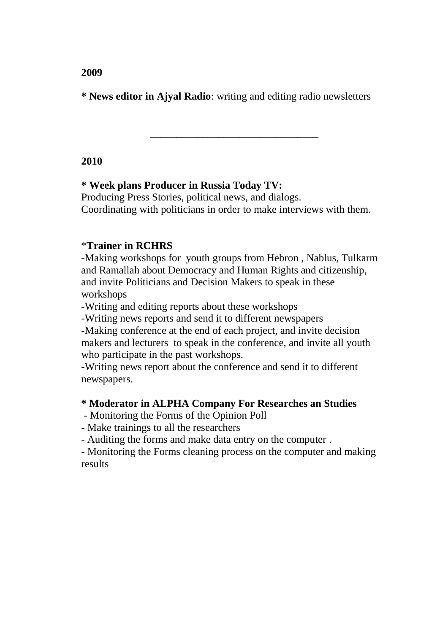**\* News editor in Ajyal Radio**: writing and editing radio newsletters

# **2010**

# **\* Week plans Producer in Russia Today TV:**

Producing Press Stories, political news, and dialogs. Coordinating with politicians in order to make interviews with them.

**\_\_\_\_\_\_\_\_\_\_\_\_\_\_\_\_\_\_\_\_\_\_\_\_\_\_\_\_\_\_\_\_**

# \***Trainer in RCHRS**

-Making workshops for youth groups from Hebron , Nablus, Tulkarm and Ramallah about Democracy and Human Rights and citizenship, and invite Politicians and Decision Makers to speak in these workshops

-Writing and editing reports about these workshops

-Writing news reports and send it to different newspapers

-Making conference at the end of each project, and invite decision makers and lecturers to speak in the conference, and invite all youth who participate in the past workshops.

-Writing news report about the conference and send it to different newspapers.

#### **\* Moderator in ALPHA Company For Researches an Studies**

- Monitoring the Forms of the Opinion Poll

- Make trainings to all the researchers

- Auditing the forms and make data entry on the computer .

- Monitoring the Forms cleaning process on the computer and making results

**2009**